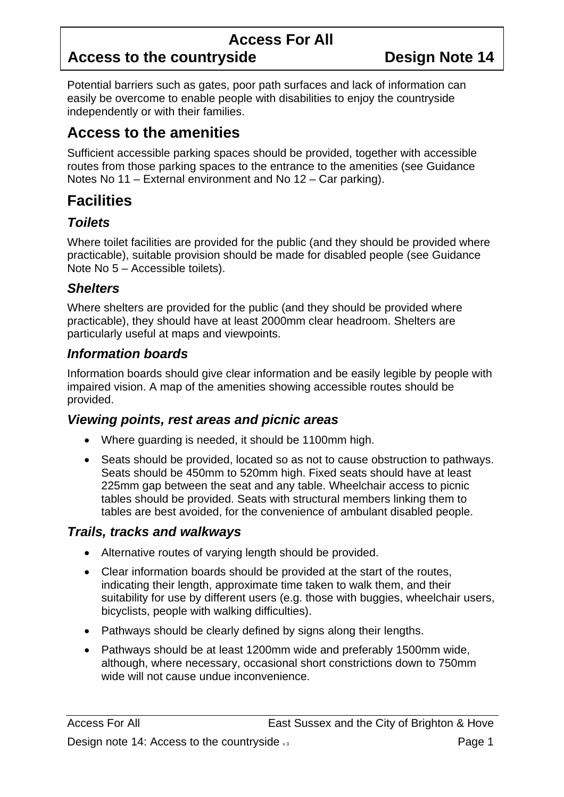## **Access For All**

# Access to the countryside **Design Note 14**

Potential barriers such as gates, poor path surfaces and lack of information can easily be overcome to enable people with disabilities to enjoy the countryside independently or with their families.

### **Access to the amenities**

Sufficient accessible parking spaces should be provided, together with accessible routes from those parking spaces to the entrance to the amenities (see Guidance Notes No 11 – External environment and No 12 – Car parking).

## **Facilities**

### *Toilets*

Where toilet facilities are provided for the public (and they should be provided where practicable), suitable provision should be made for disabled people (see Guidance Note No 5 – Accessible toilets).

### *Shelters*

Where shelters are provided for the public (and they should be provided where practicable), they should have at least 2000mm clear headroom. Shelters are particularly useful at maps and viewpoints.

#### *Information boards*

Information boards should give clear information and be easily legible by people with impaired vision. A map of the amenities showing accessible routes should be provided.

### *Viewing points, rest areas and picnic areas*

- Where guarding is needed, it should be 1100mm high.
- Seats should be provided, located so as not to cause obstruction to pathways. Seats should be 450mm to 520mm high. Fixed seats should have at least 225mm gap between the seat and any table. Wheelchair access to picnic tables should be provided. Seats with structural members linking them to tables are best avoided, for the convenience of ambulant disabled people.

#### *Trails, tracks and walkways*

- Alternative routes of varying length should be provided.
- Clear information boards should be provided at the start of the routes, indicating their length, approximate time taken to walk them, and their suitability for use by different users (e.g. those with buggies, wheelchair users, bicyclists, people with walking difficulties).
- Pathways should be clearly defined by signs along their lengths.
- Pathways should be at least 1200mm wide and preferably 1500mm wide, although, where necessary, occasional short constrictions down to 750mm wide will not cause undue inconvenience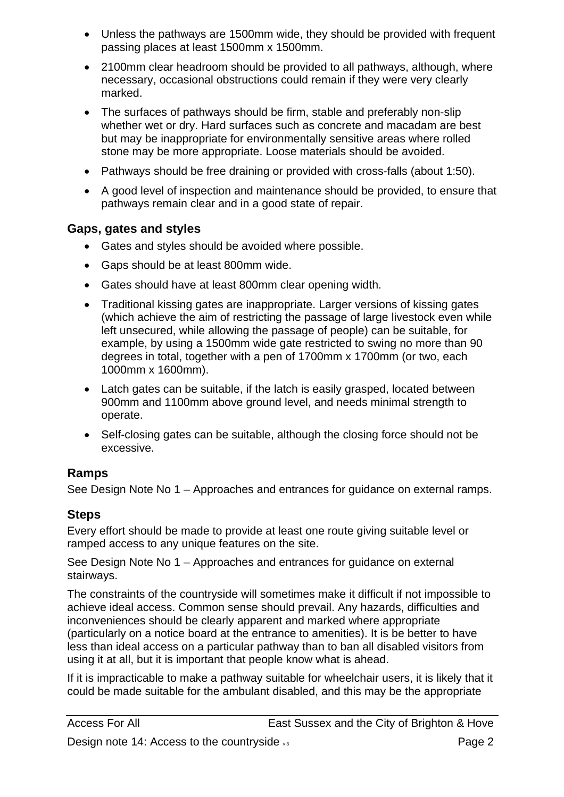- Unless the pathways are 1500mm wide, they should be provided with frequent passing places at least 1500mm x 1500mm.
- 2100mm clear headroom should be provided to all pathways, although, where necessary, occasional obstructions could remain if they were very clearly marked.
- The surfaces of pathways should be firm, stable and preferably non-slip whether wet or dry. Hard surfaces such as concrete and macadam are best but may be inappropriate for environmentally sensitive areas where rolled stone may be more appropriate. Loose materials should be avoided.
- Pathways should be free draining or provided with cross-falls (about 1:50).
- A good level of inspection and maintenance should be provided, to ensure that pathways remain clear and in a good state of repair.

### **Gaps, gates and styles**

- Gates and styles should be avoided where possible.
- Gaps should be at least 800mm wide.
- Gates should have at least 800mm clear opening width.
- Traditional kissing gates are inappropriate. Larger versions of kissing gates (which achieve the aim of restricting the passage of large livestock even while left unsecured, while allowing the passage of people) can be suitable, for example, by using a 1500mm wide gate restricted to swing no more than 90 degrees in total, together with a pen of 1700mm x 1700mm (or two, each 1000mm x 1600mm).
- Latch gates can be suitable, if the latch is easily grasped, located between 900mm and 1100mm above ground level, and needs minimal strength to operate.
- Self-closing gates can be suitable, although the closing force should not be excessive.

### **Ramps**

See Design Note No 1 – Approaches and entrances for guidance on external ramps.

### **Steps**

Every effort should be made to provide at least one route giving suitable level or ramped access to any unique features on the site.

See Design Note No 1 – Approaches and entrances for guidance on external stairways.

The constraints of the countryside will sometimes make it difficult if not impossible to achieve ideal access. Common sense should prevail. Any hazards, difficulties and inconveniences should be clearly apparent and marked where appropriate (particularly on a notice board at the entrance to amenities). It is be better to have less than ideal access on a particular pathway than to ban all disabled visitors from using it at all, but it is important that people know what is ahead.

If it is impracticable to make a pathway suitable for wheelchair users, it is likely that it could be made suitable for the ambulant disabled, and this may be the appropriate